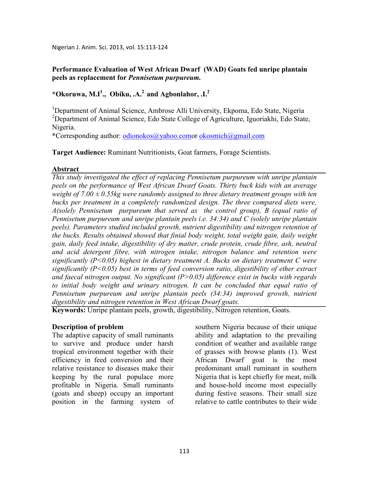Nigerian J. Anim. Sci. 2013, vol. 15:113-124

## **Performance Evaluation of West African Dwarf (WAD) Goats fed unripe plantain peels as replacement for** *Pennisetum purpureum.*

# **\*Okoruwa, M.I<sup>1</sup> ., Obiku, .A.<sup>2</sup>and Agbonlahor, .I.<sup>2</sup>**

<sup>1</sup>Department of Animal Science, Ambrose Alli University, Ekpoma, Edo State, Nigeria <sup>2</sup>Department of Animal Science, Edo State College of Agriculture, Iguoriakhi, Edo State, Nigeria.

\*Corresponding author: odionokos@yahoo.comor okosmich@gmail.com

**Target Audience:** Ruminant Nutritionists, Goat farmers, Forage Scientists.

#### **Abstract**

*This study investigated the effect of replacing Pennisetum purpureum with unripe plantain peels on the performance of West African Dwarf Goats. Thirty buck kids with an average weight of 7.00 ± 0.55kg were randomly assigned to three dietary treatment groups with ten bucks per treatment in a completely randomized design. The three compared diets were, A(solely Pennisetum purpureum that served as the control group), B (equal ratio of Pennisetum purpureum and unripe plantain peels i.e. 34:34) and C (solely unripe plantain peels). Parameters studied included growth, nutrient digestibility and nitrogen retention of the bucks. Results obtained showed that finial body weight, total weight gain, daily weight gain, daily feed intake, digestibility of dry matter, crude protein, crude fibre, ash, neutral and acid detergent fibre, with nitrogen intake, nitrogen balance and retention were significantly (P<0.05) highest in dietary treatment A. Bucks on dietary treatment C were significantly (P<0.05) best in terms of feed conversion ratio, digestibility of ether extract*  and faecal nitrogen output. No significant  $(P>0.05)$  difference exist in bucks with regards *to initial body weight and urinary nitrogen. It can be concluded that equal ratio of Pennisetum purpureum and unripe plantain peels (34:34) improved growth, nutrient digestibility and nitrogen retention in West African Dwarf goats.* 

**Keywords:** Unripe plantain peels, growth, digestibility, Nitrogen retention, Goats.

#### **Description of problem**

The adaptive capacity of small ruminants to survive and produce under harsh tropical environment together with their efficiency in feed conversion and their relative resistance to diseases make their keeping by the rural populace more profitable in Nigeria. Small ruminants (goats and sheep) occupy an important position in the farming system of southern Nigeria because of their unique ability and adaptation to the prevailing condition of weather and available range of grasses with browse plants (1). West African Dwarf goat is the most predominant small ruminant in southern Nigeria that is kept chiefly for meat, milk and house-hold income most especially during festive seasons. Their small size relative to cattle contributes to their wide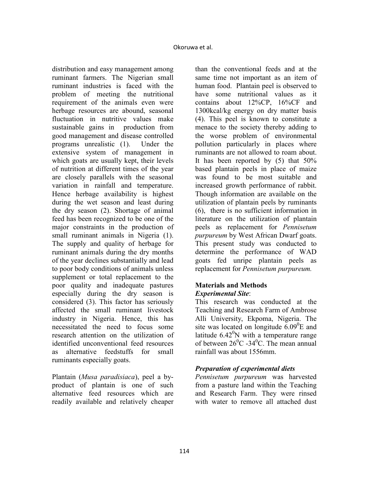distribution and easy management among ruminant farmers. The Nigerian small ruminant industries is faced with the problem of meeting the nutritional requirement of the animals even were herbage resources are abound, seasonal fluctuation in nutritive values make sustainable gains in production from good management and disease controlled programs unrealistic (1). Under the extensive system of management in which goats are usually kept, their levels of nutrition at different times of the year are closely parallels with the seasonal variation in rainfall and temperature. Hence herbage availability is highest during the wet season and least during the dry season (2). Shortage of animal feed has been recognized to be one of the major constraints in the production of small ruminant animals in Nigeria (1). The supply and quality of herbage for ruminant animals during the dry months of the year declines substantially and lead to poor body conditions of animals unless supplement or total replacement to the poor quality and inadequate pastures especially during the dry season is considered (3). This factor has seriously affected the small ruminant livestock industry in Nigeria. Hence, this has necessitated the need to focus some research attention on the utilization of identified unconventional feed resources as alternative feedstuffs for small ruminants especially goats.

Plantain (*Musa paradisiaca*), peel a byproduct of plantain is one of such alternative feed resources which are readily available and relatively cheaper

than the conventional feeds and at the same time not important as an item of human food. Plantain peel is observed to have some nutritional values as it contains about 12%CP, 16%CF and 1300kcal/kg energy on dry matter basis (4). This peel is known to constitute a menace to the society thereby adding to the worse problem of environmental pollution particularly in places where ruminants are not allowed to roam about. It has been reported by (5) that 50% based plantain peels in place of maize was found to be most suitable and increased growth performance of rabbit. Though information are available on the utilization of plantain peels by ruminants (6), there is no sufficient information in literature on the utilization of plantain peels as replacement for *Pennisetum purpureum* by West African Dwarf goats. This present study was conducted to determine the performance of WAD goats fed unripe plantain peels as replacement for *Pennisetum purpureum.* 

#### **Materials and Methods**  *Experimental Site*:

This research was conducted at the Teaching and Research Farm of Ambrose Alli University, Ekpoma, Nigeria. The site was located on longitude  $6.09^0$ E and latitude  $6.42^{\circ}$ N with a temperature range of between  $26^{\circ}$ C -34 $^{\circ}$ C. The mean annual rainfall was about 1556mm.

# *Preparation of experimental diets*

*Pennisetum purpureum* was harvested from a pasture land within the Teaching and Research Farm. They were rinsed with water to remove all attached dust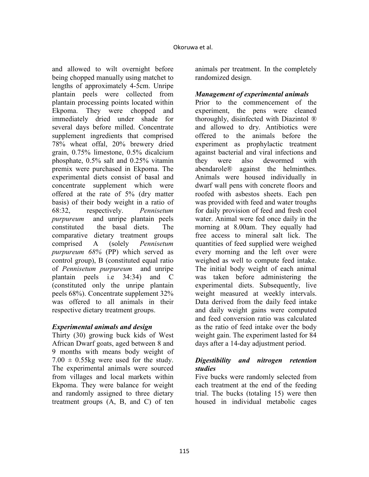and allowed to wilt overnight before being chopped manually using matchet to lengths of approximately 4-5cm. Unripe plantain peels were collected from plantain processing points located within Ekpoma. They were chopped and immediately dried under shade for several days before milled. Concentrate supplement ingredients that comprised 78% wheat offal, 20% brewery dried grain, 0.75% limestone, 0.5% dicalcium phosphate, 0.5% salt and 0.25% vitamin premix were purchased in Ekpoma. The experimental diets consist of basal and concentrate supplement which were offered at the rate of 5% (dry matter basis) of their body weight in a ratio of 68:32, respectively. *Pennisetum purpureum* and unripe plantain peels constituted the basal diets. The comparative dietary treatment groups comprised A (solely *Pennisetum purpureum 68%* (PP) which served as control group), B (constituted equal ratio of *Pennisetum purpureum* and unripe plantain peels i.e 34:34) and C (constituted only the unripe plantain peels 68%). Concentrate supplement 32% was offered to all animals in their respective dietary treatment groups.

# *Experimental animals and design*

Thirty (30) growing buck kids of West African Dwarf goats, aged between 8 and 9 months with means body weight of  $7.00 \pm 0.55$ kg were used for the study. The experimental animals were sourced from villages and local markets within Ekpoma. They were balance for weight and randomly assigned to three dietary treatment groups (A, B, and C) of ten

animals per treatment. In the completely randomized design.

#### *Management of experimental animals*

Prior to the commencement of the experiment, the pens were cleaned thoroughly, disinfected with Diazintol ® and allowed to dry. Antibiotics were offered to the animals before the experiment as prophylactic treatment against bacterial and viral infections and they were also dewormed with abendarole® against the helminthes. Animals were housed individually in dwarf wall pens with concrete floors and roofed with asbestos sheets. Each pen was provided with feed and water troughs for daily provision of feed and fresh cool water. Animal were fed once daily in the morning at 8.00am. They equally had free access to mineral salt lick. The quantities of feed supplied were weighed every morning and the left over were weighed as well to compute feed intake. The initial body weight of each animal was taken before administering the experimental diets. Subsequently, live weight measured at weekly intervals. Data derived from the daily feed intake and daily weight gains were computed and feed conversion ratio was calculated as the ratio of feed intake over the body weight gain. The experiment lasted for 84 days after a 14-day adjustment period.

# *Digestibility and nitrogen retention studies*

Five bucks were randomly selected from each treatment at the end of the feeding trial. The bucks (totaling 15) were then housed in individual metabolic cages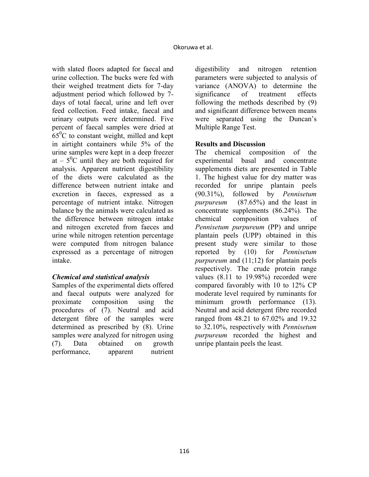with slated floors adapted for faecal and urine collection. The bucks were fed with their weighed treatment diets for 7-day adjustment period which followed by 7 days of total faecal, urine and left over feed collection. Feed intake, faecal and urinary outputs were determined. Five percent of faecal samples were dried at  $65^{\circ}$ C to constant weight, milled and kept in airtight containers while 5% of the urine samples were kept in a deep freezer at  $-5^0$ C until they are both required for analysis. Apparent nutrient digestibility of the diets were calculated as the difference between nutrient intake and excretion in faeces, expressed as a percentage of nutrient intake. Nitrogen balance by the animals were calculated as the difference between nitrogen intake and nitrogen excreted from faeces and urine while nitrogen retention percentage were computed from nitrogen balance expressed as a percentage of nitrogen intake.

# *Chemical and statistical analysis*

Samples of the experimental diets offered and faecal outputs were analyzed for proximate composition using the procedures of (7). Neutral and acid detergent fibre of the samples were determined as prescribed by (8). Urine samples were analyzed for nitrogen using (7). Data obtained on growth performance, apparent nutrient

digestibility and nitrogen retention parameters were subjected to analysis of variance (ANOVA) to determine the significance of treatment effects following the methods described by (9) and significant difference between means were separated using the Duncan's Multiple Range Test.

# **Results and Discussion**

The chemical composition of the experimental basal and concentrate supplements diets are presented in Table 1. The highest value for dry matter was recorded for unripe plantain peels (90.31%), followed by *Pennisetum purpureum* (87.65%) and the least in concentrate supplements (86.24%). The chemical composition values of *Pennisetum purpureum* (PP) and unripe plantain peels (UPP) obtained in this present study were similar to those reported by (10) for *Pennisetum purpureum* and (11;12) for plantain peels respectively. The crude protein range values (8.11 to 19.98%) recorded were compared favorably with 10 to 12% CP moderate level required by ruminants for minimum growth performance (13). Neutral and acid detergent fibre recorded ranged from 48.21 to 67.02% and 19.32 to 32.10%, respectively with *Pennisetum purpureum* recorded the highest and unripe plantain peels the least.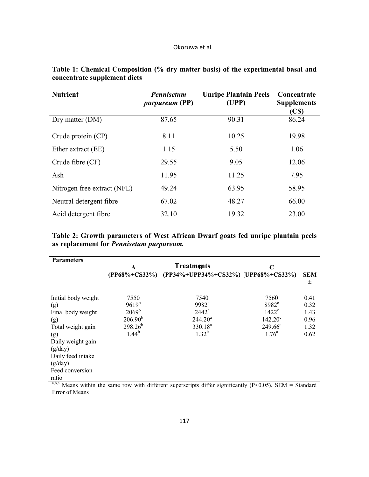| <b>Nutrient</b>             | <b>Pennisetum</b><br><i>purpureum</i> (PP) | <b>Unripe Plantain Peels</b><br>(UPP) | Concentrate<br><b>Supplements</b><br>(CS) |
|-----------------------------|--------------------------------------------|---------------------------------------|-------------------------------------------|
| Dry matter (DM)             | 87.65                                      | 90.31                                 | 86.24                                     |
| Crude protein (CP)          | 8.11                                       | 10.25                                 | 19.98                                     |
| Ether extract (EE)          | 1.15                                       | 5.50                                  | 1.06                                      |
| Crude fibre (CF)            | 29.55                                      | 9.05                                  | 12.06                                     |
| Ash                         | 11.95                                      | 11.25                                 | 7.95                                      |
| Nitrogen free extract (NFE) | 49.24                                      | 63.95                                 | 58.95                                     |
| Neutral detergent fibre     | 67.02                                      | 48.27                                 | 66.00                                     |
| Acid detergent fibre        | 32.10                                      | 19.32                                 | 23.00                                     |

# **Table 1: Chemical Composition (% dry matter basis) of the experimental basal and concentrate supplement diets**

**Table 2: Growth parameters of West African Dwarf goats fed unripe plantain peels as replacement for** *Pennisetum purpureum.* 

| <b>Parameters</b>   | Treatments   |                                                                                                                | C                 |            |  |
|---------------------|--------------|----------------------------------------------------------------------------------------------------------------|-------------------|------------|--|
|                     |              | (PP68%+CS32%) (PP34%+UPP34%+CS32%) (UPP68%+CS32%)                                                              |                   | <b>SEM</b> |  |
|                     |              |                                                                                                                |                   | 士          |  |
| Initial body weight | 7550         | 7540                                                                                                           | 7560              | 0.41       |  |
| (g)                 | $9619^{b}$   | $9982^a$                                                                                                       | 8982 <sup>c</sup> | 0.32       |  |
| Final body weight   | $2069^b$     | $2442^a$                                                                                                       | $1422^{\circ}$    | 1.43       |  |
| (g)                 | $206.90^{b}$ | 244.20 <sup>a</sup>                                                                                            | $142.20^{\circ}$  | 0.96       |  |
| Total weight gain   | $298.26^{b}$ | $330.18^{a}$                                                                                                   | $249.66^{\circ}$  | 1.32       |  |
| (g)                 | $1.44^{b}$   | $1.32^{b}$                                                                                                     | $1.76^{\circ}$    | 0.62       |  |
| Daily weight gain   |              |                                                                                                                |                   |            |  |
| (g/day)             |              |                                                                                                                |                   |            |  |
| Daily feed intake   |              |                                                                                                                |                   |            |  |
| (g/day)             |              |                                                                                                                |                   |            |  |
| Feed conversion     |              |                                                                                                                |                   |            |  |
| ratio               |              | $a,b,c$ Moone within the same row with different sympressints differ significantly $(D<0.05)$ , CEM = Ctondard |                   |            |  |

Means within the same row with different superscripts differ significantly (P<0.05), SEM = Standard Error of Means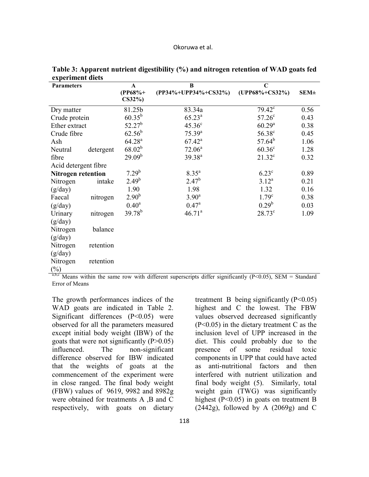| <b>Parameters</b>         |           | A                  | B                    | $\mathbf C$        |          |
|---------------------------|-----------|--------------------|----------------------|--------------------|----------|
|                           |           | $(PP68% +$         | (PP34%+UPP34%+CS32%) | (UPP68%+CS32%)     | $SEM\pm$ |
|                           |           | $CS32\%$           |                      |                    |          |
| Dry matter                |           | 81.25b             | 83.34a               | $79.42^{\circ}$    | 0.56     |
| Crude protein             |           | $60.35^{b}$        | $65.23^{a}$          | 57.26 <sup>c</sup> | 0.43     |
| Ether extract             |           | $52.27^b$          | $45.36^{\circ}$      | $60.29^{a}$        | 0.38     |
| Crude fibre               |           | $62.56^{b}$        | $75.39^{a}$          | 56.38 <sup>c</sup> | 0.45     |
| Ash                       |           | $64.28^{a}$        | $67.42^a$            | $57.64^{b}$        | 1.06     |
| Neutral                   | detergent | $68.02^{b}$        | $72.06^a$            | $60.36^{\circ}$    | 1.28     |
| fibre                     |           | 29.09 <sup>b</sup> | $39.38^{a}$          | $21.32^{\circ}$    | 0.32     |
| Acid detergent fibre      |           |                    |                      |                    |          |
| <b>Nitrogen retention</b> |           | $7.29^{b}$         | $8.35^{a}$           | $6.23^{\circ}$     | 0.89     |
| Nitrogen                  | intake    | $2.49^{b}$         | $2.47^{b}$           | $3.12^{a}$         | 0.21     |
| (g/day)                   |           | 1.90               | 1.98                 | 1.32               | 0.16     |
| Faecal                    | nitrogen  | $2.90^{b}$         | $3.90^{\rm a}$       | 1.79 <sup>c</sup>  | 0.38     |
| (g/day)                   |           | $0.40^{\rm a}$     | $0.47^{\rm a}$       | $0.29^{b}$         | 0.03     |
| Urinary                   | nitrogen  | $39.78^{b}$        | $46.71^a$            | $28.73^{\circ}$    | 1.09     |
| (g/day)                   |           |                    |                      |                    |          |
| Nitrogen                  | balance   |                    |                      |                    |          |
| (g/day)                   |           |                    |                      |                    |          |
| Nitrogen                  | retention |                    |                      |                    |          |
| (g/day)                   |           |                    |                      |                    |          |
| Nitrogen                  | retention |                    |                      |                    |          |
| $(\%)$                    |           |                    |                      |                    |          |

**Table 3: Apparent nutrient digestibility (%) and nitrogen retention of WAD goats fed experiment diets** 

 $a,b,c$  Means within the same row with different superscripts differ significantly (P<0.05), SEM = Standard Error of Means

The growth performances indices of the WAD goats are indicated in Table 2. Significant differences (P<0.05) were observed for all the parameters measured except initial body weight (IBW) of the goats that were not significantly  $(P>0.05)$ influenced. The non-significant difference observed for IBW indicated that the weights of goats at the commencement of the experiment were in close ranged. The final body weight (FBW) values of 9619, 9982 and 8982g were obtained for treatments A ,B and C respectively, with goats on dietary

treatment B being significantly  $(P<0.05)$ highest and C the lowest. The FBW values observed decreased significantly (P<0.05) in the dietary treatment C as the inclusion level of UPP increased in the diet. This could probably due to the presence of some residual toxic components in UPP that could have acted as anti-nutritional factors and then interfered with nutrient utilization and final body weight (5). Similarly, total weight gain (TWG) was significantly highest (P<0.05) in goats on treatment B  $(2442g)$ , followed by A  $(2069g)$  and C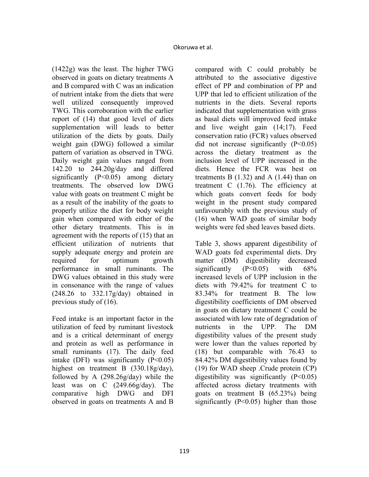(1422g) was the least. The higher TWG observed in goats on dietary treatments A and B compared with C was an indication of nutrient intake from the diets that were well utilized consequently improved TWG. This corroboration with the earlier report of (14) that good level of diets supplementation will leads to better utilization of the diets by goats. Daily weight gain (DWG) followed a similar pattern of variation as observed in TWG. Daily weight gain values ranged from 142.20 to 244.20g/day and differed significantly (P<0.05) among dietary treatments. The observed low DWG value with goats on treatment C might be as a result of the inability of the goats to properly utilize the diet for body weight gain when compared with either of the other dietary treatments. This is in agreement with the reports of (15) that an efficient utilization of nutrients that supply adequate energy and protein are required for optimum growth performance in small ruminants. The DWG values obtained in this study were in consonance with the range of values (248.26 to 332.17g/day) obtained in previous study of (16).

Feed intake is an important factor in the utilization of feed by ruminant livestock and is a critical determinant of energy and protein as well as performance in small ruminants (17). The daily feed intake (DFI) was significantly  $(P<0.05)$ highest on treatment B (330.18g/day), followed by A (298.26g/day) while the least was on C (249.66g/day). The comparative high DWG and DFI observed in goats on treatments A and B

compared with C could probably be attributed to the associative digestive effect of PP and combination of PP and UPP that led to efficient utilization of the nutrients in the diets. Several reports indicated that supplementation with grass as basal diets will improved feed intake and live weight gain (14;17). Feed conservation ratio (FCR) values observed did not increase significantly  $(P<0.05)$ across the dietary treatment as the inclusion level of UPP increased in the diets. Hence the FCR was best on treatments B  $(1.32)$  and A  $(1.44)$  than on treatment  $C$  (1.76). The efficiency at which goats convert feeds for body weight in the present study compared unfavourably with the previous study of (16) when WAD goats of similar body weights were fed shed leaves based diets.

Table 3, shows apparent digestibility of WAD goats fed experimental diets. Dry matter (DM) digestibility decreased significantly (P<0.05) with 68% increased levels of UPP inclusion in the diets with 79.42% for treatment C to 83.34% for treatment B. The low digestibility coefficients of DM observed in goats on dietary treatment C could be associated with low rate of degradation of nutrients in the UPP. The DM digestibility values of the present study were lower than the values reported by (18) but comparable with 76.43 to 84.42% DM digestibility values found by (19) for WAD sheep .Crude protein (CP) digestibility was significantly  $(P<0.05)$ affected across dietary treatments with goats on treatment B (65.23%) being significantly  $(P<0.05)$  higher than those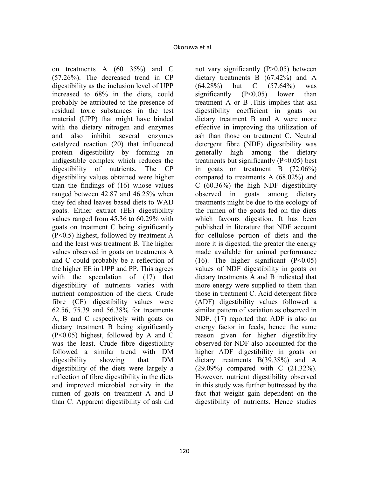on treatments A (60 35%) and C (57.26%). The decreased trend in CP digestibility as the inclusion level of UPP increased to 68% in the diets, could probably be attributed to the presence of residual toxic substances in the test material (UPP) that might have binded with the dietary nitrogen and enzymes and also inhibit several enzymes catalyzed reaction (20) that influenced protein digestibility by forming an indigestible complex which reduces the digestibility of nutrients. The CP digestibility values obtained were higher than the findings of (16) whose values ranged between 42.87 and 46.25% when they fed shed leaves based diets to WAD goats. Either extract (EE) digestibility values ranged from 45.36 to 60.29% with goats on treatment C being significantly (P<0.5) highest, followed by treatment A and the least was treatment B. The higher values observed in goats on treatments A and C could probably be a reflection of the higher EE in UPP and PP. This agrees with the speculation of  $(17)$  that digestibility of nutrients varies with nutrient composition of the diets. Crude fibre (CF) digestibility values were 62.56, 75.39 and 56.38% for treatments A, B and C respectively with goats on dietary treatment B being significantly (P<0.05) highest, followed by A and C was the least. Crude fibre digestibility followed a similar trend with DM digestibility showing that DM digestibility of the diets were largely a reflection of fibre digestibility in the diets and improved microbial activity in the rumen of goats on treatment A and B than C. Apparent digestibility of ash did

not vary significantly (P>0.05) between dietary treatments B (67.42%) and A (64.28%) but C (57.64%) was significantly  $(P<0.05)$  lower than treatment A or B .This implies that ash digestibility coefficient in goats on dietary treatment B and A were more effective in improving the utilization of ash than those on treatment C. Neutral detergent fibre (NDF) digestibility was generally high among the dietary treatments but significantly (P<0.05) best in goats on treatment B (72.06%) compared to treatments A (68.02%) and C (60.36%) the high NDF digestibility observed in goats among dietary treatments might be due to the ecology of the rumen of the goats fed on the diets which favours digestion. It has been published in literature that NDF account for cellulose portion of diets and the more it is digested, the greater the energy made available for animal performance (16). The higher significant  $(P<0.05)$ values of NDF digestibility in goats on dietary treatments A and B indicated that more energy were supplied to them than those in treatment C. Acid detergent fibre (ADF) digestibility values followed a similar pattern of variation as observed in NDF. (17) reported that ADF is also an energy factor in feeds, hence the same reason given for higher digestibility observed for NDF also accounted for the higher ADF digestibility in goats on dietary treatments B(39.38%) and A (29.09%) compared with C (21.32%). However, nutrient digestibility observed in this study was further buttressed by the fact that weight gain dependent on the digestibility of nutrients. Hence studies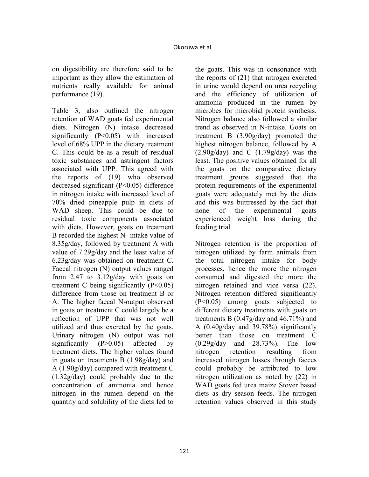on digestibility are therefore said to be important as they allow the estimation of nutrients really available for animal performance (19).

Table 3, also outlined the nitrogen retention of WAD goats fed experimental diets. Nitrogen (N) intake decreased significantly (P<0.05) with increased level of 68% UPP in the dietary treatment C. This could be as a result of residual toxic substances and astringent factors associated with UPP. This agreed with the reports of (19) who observed decreased significant (P<0.05) difference in nitrogen intake with increased level of 70% dried pineapple pulp in diets of WAD sheep. This could be due to residual toxic components associated with diets. However, goats on treatment B recorded the highest N- intake value of 8.35g/day, followed by treatment A with value of 7.29g/day and the least value of 6.23g/day was obtained on treatment C. Faecal nitrogen (N) output values ranged from 2.47 to 3.12g/day with goats on treatment C being significantly  $(P<0.05)$ difference from those on treatment B or A. The higher faecal N-output observed in goats on treatment C could largely be a reflection of UPP that was not well utilized and thus excreted by the goats. Urinary nitrogen (N) output was not significantly  $(P>0.05)$  affected by treatment diets. The higher values found in goats on treatments B (1.98g/day) and A (1.90g/day) compared with treatment C (1.32g/day) could probably due to the concentration of ammonia and hence nitrogen in the rumen depend on the quantity and solubility of the diets fed to

the goats. This was in consonance with the reports of (21) that nitrogen excreted in urine would depend on urea recycling and the efficiency of utilization of ammonia produced in the rumen by microbes for microbial protein synthesis. Nitrogen balance also followed a similar trend as observed in N-intake. Goats on treatment B (3.90g/day) promoted the highest nitrogen balance, followed by A  $(2.90g/day)$  and C  $(1.79g/day)$  was the least. The positive values obtained for all the goats on the comparative dietary treatment groups suggested that the protein requirements of the experimental goats were adequately met by the diets and this was buttressed by the fact that none of the experimental goats experienced weight loss during the feeding trial.

Nitrogen retention is the proportion of nitrogen utilized by farm animals from the total nitrogen intake for body processes, hence the more the nitrogen consumed and digested the more the nitrogen retained and vice versa (22). Nitrogen retention differed significantly (P<0.05) among goats subjected to different dietary treatments with goats on treatments B  $(0.47g/day$  and  $46.71\%$ ) and A (0.40g/day and 39.78%) significantly better than those on treatment C (0.29g/day and 28.73%). The low nitrogen retention resulting from increased nitrogen losses through faeces could probably be attributed to low nitrogen utilization as noted by (22) in WAD goats fed urea maize Stover based diets as dry season feeds. The nitrogen retention values observed in this study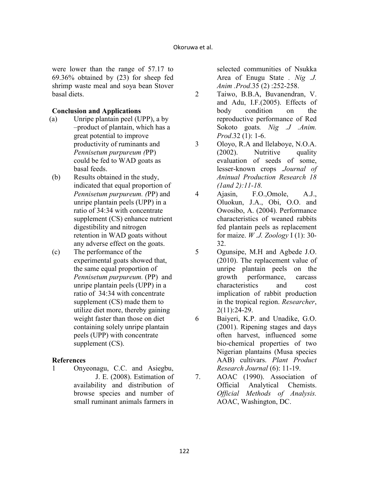were lower than the range of 57.17 to 69.36% obtained by (23) for sheep fed shrimp waste meal and soya bean Stover basal diets.

#### **Conclusion and Applications**

- (a) Unripe plantain peel (UPP), a by –product of plantain, which has a great potential to improve productivity of ruminants and *Pennisetum purpureum (*PP) could be fed to WAD goats as basal feeds.
- (b) Results obtained in the study, indicated that equal proportion of *Pennisetum purpureum. (*PP) and unripe plantain peels (UPP) in a ratio of 34:34 with concentrate supplement (CS) enhance nutrient digestibility and nitrogen retention in WAD goats without any adverse effect on the goats.
- (c) The performance of the experimental goats showed that, the same equal proportion of *Pennisetum purpureum.* (PP) and unripe plantain peels (UPP) in a ratio of 34:34 with concentrate supplement (CS) made them to utilize diet more, thereby gaining weight faster than those on diet containing solely unripe plantain peels (UPP) with concentrate supplement (CS).

#### **References**

1 Onyeonagu, C.C. and Asiegbu, J. E. (2008). Estimation of availability and distribution of browse species and number of small ruminant animals farmers in

selected communities of Nsukka Area of Enugu State *. Nig .J. Anim .Prod*.35 (2) :252-258.

- 2 Taiwo, B.B.A, Buvanendran, V. and Adu, I.F.(2005). Effects of body condition on the reproductive performance of Red Sokoto goats. Nig .J .Anim. *Prod*.32 (1): 1-6.
- 3 Oloyo, R.A and llelaboye, N.O.A. (2002). Nutritive quality evaluation of seeds of some, lesser-known crops .*Journal of Aninual Production Research 18 (1and 2):11-18.*
- 4 Ajasin, F.O.,Omole, A.J., Oluokun, J.A., Obi, O.O. and Owosibo, A. (2004). Performance characteristics of weaned rabbits fed plantain peels as replacement for maize. *W .J. Zoology* I (1): 30- 32.
- 5 Ogunsipe, M.H and Agbede J.O. (2010). The replacement value of unripe plantain peels on the growth performance, carcass characteristics and cost implication of rabbit production in the tropical region. *Researcher*, 2(11):24-29.
- 6 Baiyeri, K.P. and Unadike, G.O. (2001). Ripening stages and days often harvest, influenced some bio-chemical properties of two Nigerian plantains (Musa species AAB) cultivars. *Plant Product Research Journal* (6): 11-19.
- 7. AOAC (1990). Association of Official Analytical Chemists. *Official Methods of Analysis.* AOAC, Washington, DC.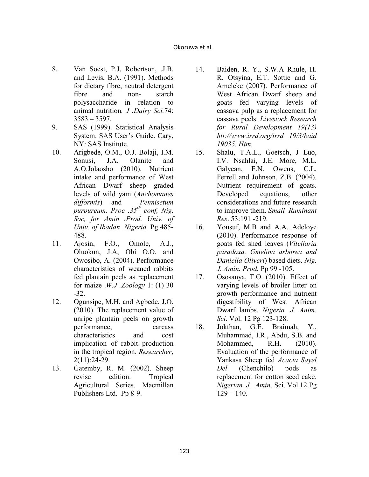- 8. Van Soest, P.J, Robertson, .J.B. and Levis, B.A. (1991). Methods for dietary fibre, neutral detergent fibre and non- starch polysaccharide in relation to animal nutrition*. J .Dairy Sci.*74: 3583 – 3597.
- 9. SAS (1999). Statistical Analysis System. SAS User's Guide. Cary, NY: SAS Institute.
- 10. Arigbede, O.M., O.J. Bolaji, I.M. Sonusi, J.A. Olanite and A.O.Jolaosho (2010). Nutrient intake and performance of West African Dwarf sheep graded levels of wild yam (*Anchomanes difformis*) and *Pennisetum purpureum. Proc .35<sup>th</sup> conf, Nig, Soc, for Amin .Prod. Univ. of Univ. of Ibadan Nigeria.* Pg 485-488.
- 11. Ajosin, F.O., Omole, A.J., Oluokun, J.A, Obi O.O. and Owosibo, A. (2004). Performance characteristics of weaned rabbits fed plantain peels as replacement for maize .*W.J .Zoology* 1: (1) 30 -32.
- 12. Ogunsipe, M.H. and Agbede, J.O. (2010). The replacement value of unripe plantain peels on growth performance, carcass characteristics and cost implication of rabbit production in the tropical region. *Researcher*, 2(11):24-29.
- 13. Gatemby, R. M. (2002). Sheep revise edition. Tropical Agricultural Series. Macmillan Publishers Ltd. Pp 8-9.
- 14. Baiden, R. Y., S.W.A Rhule, H. R. Otsyina, E.T. Sottie and G. Ameleke (2007). Performance of West African Dwarf sheep and goats fed varying levels of cassava pulp as a replacement for cassava peels. *Livestock Research for Rural Development 19(13) htt://www.irrd.org/irrd 19/3/baid 19035. Htm.*
- 15. Shalu, T.A.L., Goetsch, J Luo, I.V. Nsahlai, J.E. More, M.L. Galyean, F.N. Owens, C.L. Ferrell and Johnson, Z.B. (2004). Nutrient requirement of goats. Developed equations, other considerations and future research to improve them. *Small Ruminant Res*. 53:191 -219.
- 16. Yousuf, M.B and A.A. Adeloye (2010). Performance response of goats fed shed leaves (*Vitellaria paradoxa, Gmelina arborea and Daniella Oliveri*) based diets. *Nig. J. Amin. Prod.* Pp 99 -105.
- 17. Ososanya, T.O. (2010). Effect of varying levels of broiler litter on growth performance and nutrient digestibility of West African Dwarf lambs. *Nigeria .J. Anim. Sci*. Vol. 12 Pg 123-128.
- 18. Jokthan, G.E. Braimah, Y., Muhammad, I.R., Abdu, S.B. and Mohammed, R.H. (2010). Evaluation of the performance of Yankasa Sheep fed *Acacia Sayel Del* (Chenchilo) pods as replacement for cotton seed cake*. igerian .J. Amin*. Sci. Vol.12 Pg  $129 - 140$ .